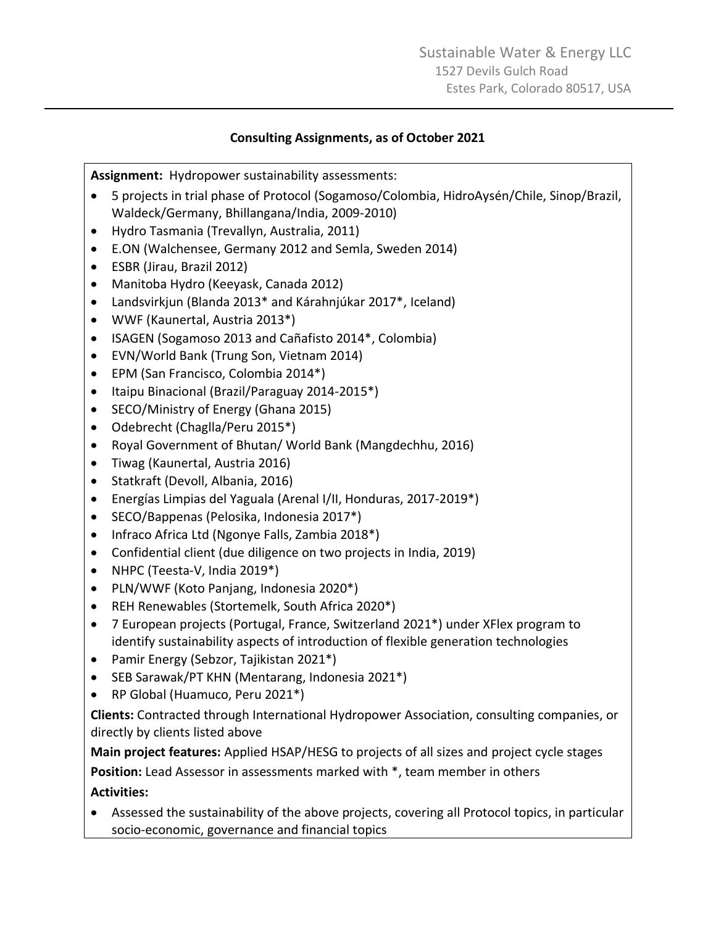#### **Consulting Assignments, as of October 2021**

**Assignment:** Hydropower sustainability assessments:

- 5 projects in trial phase of Protocol (Sogamoso/Colombia, HidroAysén/Chile, Sinop/Brazil, Waldeck/Germany, Bhillangana/India, 2009-2010)
- Hydro Tasmania (Trevallyn, Australia, 2011)
- E.ON (Walchensee, Germany 2012 and Semla, Sweden 2014)
- ESBR (Jirau, Brazil 2012)
- Manitoba Hydro (Keeyask, Canada 2012)
- Landsvirkjun (Blanda 2013\* and Kárahnjúkar 2017\*, Iceland)
- WWF (Kaunertal, Austria 2013\*)
- ISAGEN (Sogamoso 2013 and Cañafisto 2014\*, Colombia)
- EVN/World Bank (Trung Son, Vietnam 2014)
- EPM (San Francisco, Colombia 2014\*)
- Itaipu Binacional (Brazil/Paraguay 2014-2015\*)
- SECO/Ministry of Energy (Ghana 2015)
- Odebrecht (Chaglla/Peru 2015\*)
- Royal Government of Bhutan/ World Bank (Mangdechhu, 2016)
- Tiwag (Kaunertal, Austria 2016)
- Statkraft (Devoll, Albania, 2016)
- Energías Limpias del Yaguala (Arenal I/II, Honduras, 2017-2019\*)
- SECO/Bappenas (Pelosika, Indonesia 2017\*)
- Infraco Africa Ltd (Ngonye Falls, Zambia 2018\*)
- Confidential client (due diligence on two projects in India, 2019)
- NHPC (Teesta-V, India 2019\*)
- PLN/WWF (Koto Panjang, Indonesia 2020\*)
- REH Renewables (Stortemelk, South Africa 2020\*)
- 7 European projects (Portugal, France, Switzerland 2021\*) under XFlex program to identify sustainability aspects of introduction of flexible generation technologies
- Pamir Energy (Sebzor, Tajikistan 2021\*)
- SEB Sarawak/PT KHN (Mentarang, Indonesia 2021\*)
- RP Global (Huamuco, Peru 2021\*)

**Clients:** Contracted through International Hydropower Association, consulting companies, or directly by clients listed above

**Main project features:** Applied HSAP/HESG to projects of all sizes and project cycle stages **Position:** Lead Assessor in assessments marked with \*, team member in others **Activities:** 

• Assessed the sustainability of the above projects, covering all Protocol topics, in particular socio-economic, governance and financial topics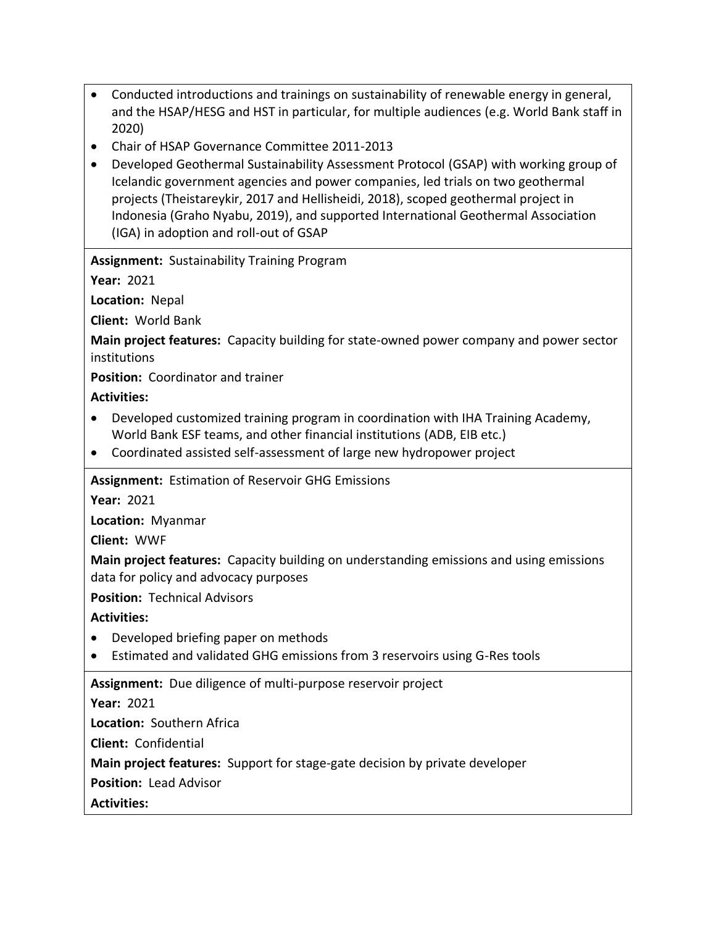- Conducted introductions and trainings on sustainability of renewable energy in general, and the HSAP/HESG and HST in particular, for multiple audiences (e.g. World Bank staff in 2020)
- Chair of HSAP Governance Committee 2011-2013
- Developed Geothermal Sustainability Assessment Protocol (GSAP) with working group of Icelandic government agencies and power companies, led trials on two geothermal projects (Theistareykir, 2017 and Hellisheidi, 2018), scoped geothermal project in Indonesia (Graho Nyabu, 2019), and supported International Geothermal Association (IGA) in adoption and roll-out of GSAP

**Assignment:** Sustainability Training Program

**Year:** 2021

**Location:** Nepal

**Client:** World Bank

**Main project features:** Capacity building for state-owned power company and power sector institutions

**Position:** Coordinator and trainer

#### **Activities:**

- Developed customized training program in coordination with IHA Training Academy, World Bank ESF teams, and other financial institutions (ADB, EIB etc.)
- Coordinated assisted self-assessment of large new hydropower project

**Assignment:** Estimation of Reservoir GHG Emissions

**Year:** 2021

**Location:** Myanmar

**Client:** WWF

**Main project features:** Capacity building on understanding emissions and using emissions data for policy and advocacy purposes

**Position:** Technical Advisors

**Activities:** 

- Developed briefing paper on methods
- Estimated and validated GHG emissions from 3 reservoirs using G-Res tools

**Assignment:** Due diligence of multi-purpose reservoir project

#### **Year:** 2021

**Location:** Southern Africa

**Client:** Confidential

**Main project features:** Support for stage-gate decision by private developer

**Position:** Lead Advisor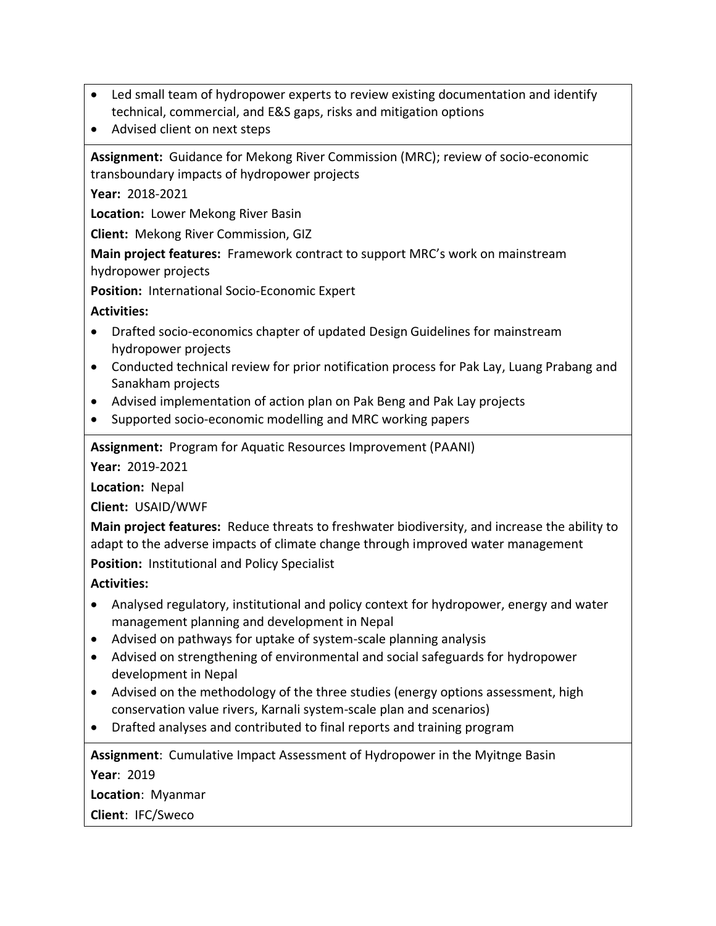- Led small team of hydropower experts to review existing documentation and identify technical, commercial, and E&S gaps, risks and mitigation options
- Advised client on next steps

**Assignment:** Guidance for Mekong River Commission (MRC); review of socio-economic transboundary impacts of hydropower projects

**Year:** 2018-2021

**Location:** Lower Mekong River Basin

**Client:** Mekong River Commission, GIZ

**Main project features:** Framework contract to support MRC's work on mainstream hydropower projects

**Position:** International Socio-Economic Expert

# **Activities:**

- Drafted socio-economics chapter of updated Design Guidelines for mainstream hydropower projects
- Conducted technical review for prior notification process for Pak Lay, Luang Prabang and Sanakham projects
- Advised implementation of action plan on Pak Beng and Pak Lay projects
- Supported socio-economic modelling and MRC working papers

**Assignment:** Program for Aquatic Resources Improvement (PAANI)

**Year:** 2019-2021

**Location:** Nepal

**Client:** USAID/WWF

**Main project features:** Reduce threats to freshwater biodiversity, and increase the ability to adapt to the adverse impacts of climate change through improved water management **Position:** Institutional and Policy Specialist

**Activities:** 

- Analysed regulatory, institutional and policy context for hydropower, energy and water management planning and development in Nepal
- Advised on pathways for uptake of system-scale planning analysis
- Advised on strengthening of environmental and social safeguards for hydropower development in Nepal
- Advised on the methodology of the three studies (energy options assessment, high conservation value rivers, Karnali system-scale plan and scenarios)
- Drafted analyses and contributed to final reports and training program

**Assignment**: Cumulative Impact Assessment of Hydropower in the Myitnge Basin

**Year**: 2019

**Location**: Myanmar **Client**: IFC/Sweco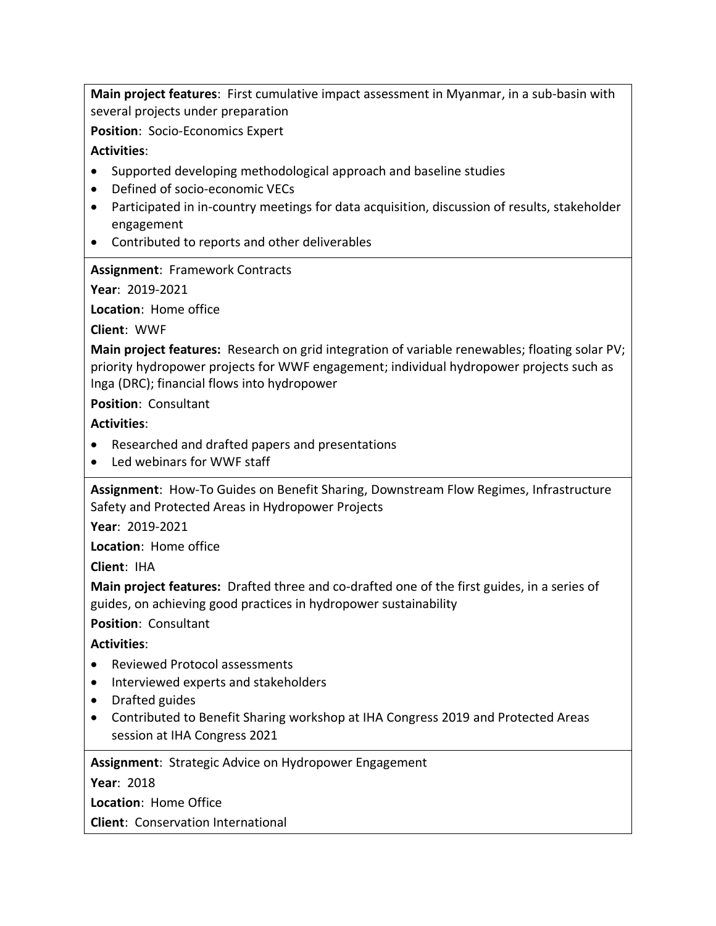**Main project features**: First cumulative impact assessment in Myanmar, in a sub-basin with several projects under preparation

**Position**: Socio-Economics Expert

# **Activities**:

- Supported developing methodological approach and baseline studies
- Defined of socio-economic VECs
- Participated in in-country meetings for data acquisition, discussion of results, stakeholder engagement
- Contributed to reports and other deliverables

# **Assignment**: Framework Contracts

**Year**: 2019-2021

**Location**: Home office

**Client**: WWF

**Main project features:** Research on grid integration of variable renewables; floating solar PV; priority hydropower projects for WWF engagement; individual hydropower projects such as Inga (DRC); financial flows into hydropower

**Position**: Consultant

**Activities**:

- Researched and drafted papers and presentations
- Led webinars for WWF staff

**Assignment**: How-To Guides on Benefit Sharing, Downstream Flow Regimes, Infrastructure Safety and Protected Areas in Hydropower Projects

**Year**: 2019-2021

**Location**: Home office

**Client**: IHA

**Main project features:** Drafted three and co-drafted one of the first guides, in a series of guides, on achieving good practices in hydropower sustainability

**Position**: Consultant

**Activities**:

- Reviewed Protocol assessments
- Interviewed experts and stakeholders
- Drafted guides
- Contributed to Benefit Sharing workshop at IHA Congress 2019 and Protected Areas session at IHA Congress 2021

**Assignment**: Strategic Advice on Hydropower Engagement

**Year**: 2018

**Location**: Home Office

**Client**: Conservation International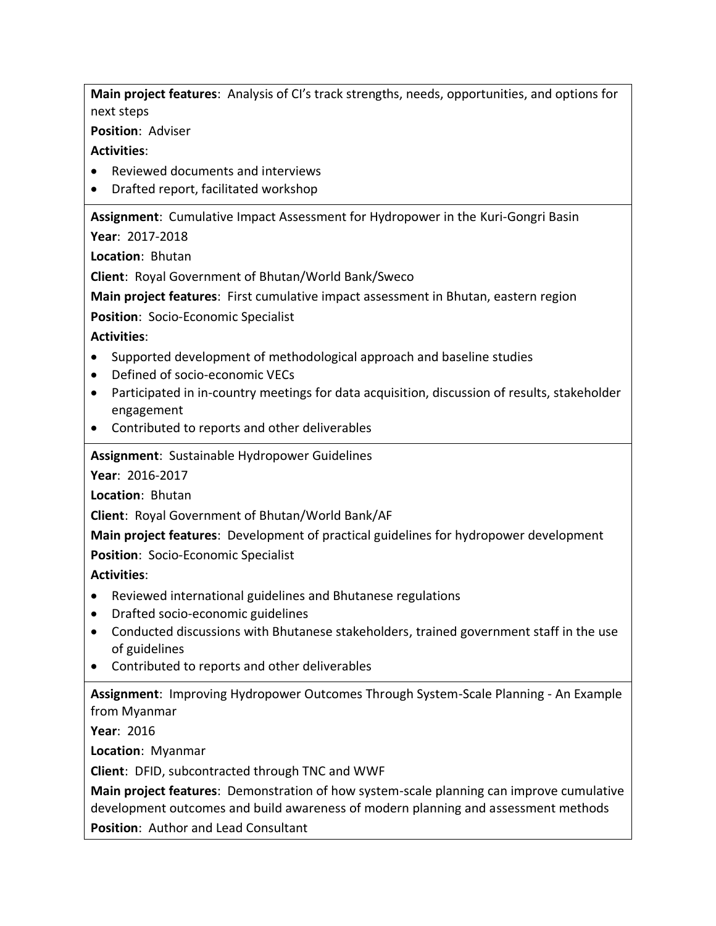**Main project features**: Analysis of CI's track strengths, needs, opportunities, and options for next steps

**Position**: Adviser

### **Activities**:

- Reviewed documents and interviews
- Drafted report, facilitated workshop

**Assignment**: Cumulative Impact Assessment for Hydropower in the Kuri-Gongri Basin

**Year**: 2017-2018

**Location**: Bhutan

**Client**: Royal Government of Bhutan/World Bank/Sweco

**Main project features**: First cumulative impact assessment in Bhutan, eastern region

**Position**: Socio-Economic Specialist

**Activities**:

- Supported development of methodological approach and baseline studies
- Defined of socio-economic VECs
- Participated in in-country meetings for data acquisition, discussion of results, stakeholder engagement
- Contributed to reports and other deliverables

# **Assignment**: Sustainable Hydropower Guidelines

**Year**: 2016-2017

**Location**: Bhutan

**Client**: Royal Government of Bhutan/World Bank/AF

**Main project features**: Development of practical guidelines for hydropower development **Position**: Socio-Economic Specialist

**Activities**:

- Reviewed international guidelines and Bhutanese regulations
- Drafted socio-economic guidelines
- Conducted discussions with Bhutanese stakeholders, trained government staff in the use of guidelines
- Contributed to reports and other deliverables

**Assignment**: Improving Hydropower Outcomes Through System-Scale Planning - An Example from Myanmar

**Year**: 2016

**Location**: Myanmar

**Client**: DFID, subcontracted through TNC and WWF

**Main project features**: Demonstration of how system-scale planning can improve cumulative development outcomes and build awareness of modern planning and assessment methods **Position**: Author and Lead Consultant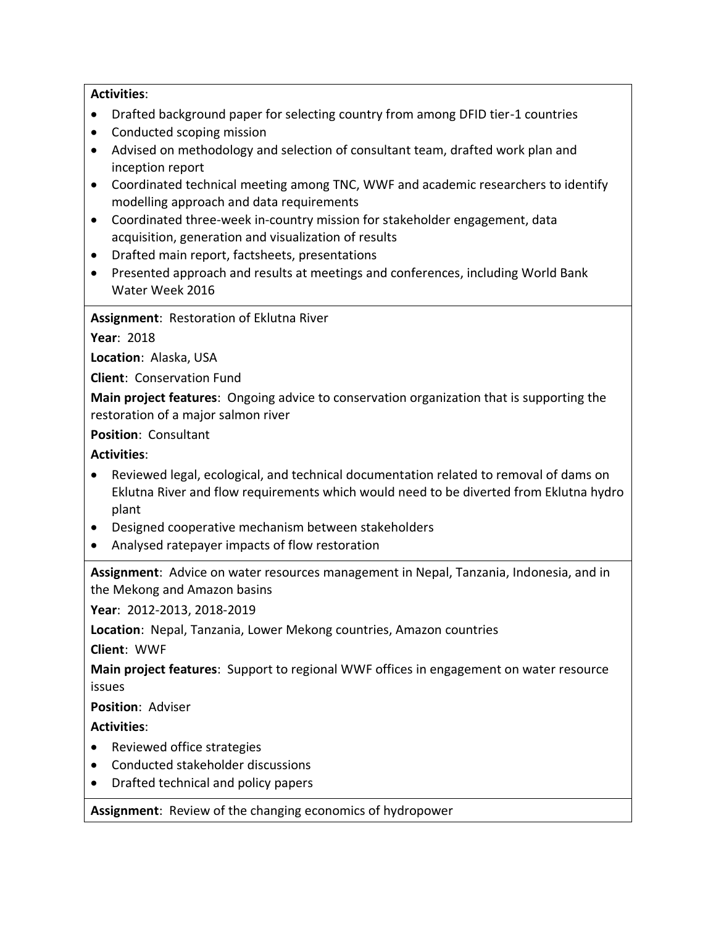#### **Activities**:

- Drafted background paper for selecting country from among DFID tier-1 countries
- Conducted scoping mission
- Advised on methodology and selection of consultant team, drafted work plan and inception report
- Coordinated technical meeting among TNC, WWF and academic researchers to identify modelling approach and data requirements
- Coordinated three-week in-country mission for stakeholder engagement, data acquisition, generation and visualization of results
- Drafted main report, factsheets, presentations
- Presented approach and results at meetings and conferences, including World Bank Water Week 2016

**Assignment**: Restoration of Eklutna River

**Year**: 2018

**Location**: Alaska, USA

**Client**: Conservation Fund

**Main project features**: Ongoing advice to conservation organization that is supporting the restoration of a major salmon river

**Position**: Consultant

**Activities**:

- Reviewed legal, ecological, and technical documentation related to removal of dams on Eklutna River and flow requirements which would need to be diverted from Eklutna hydro plant
- Designed cooperative mechanism between stakeholders
- Analysed ratepayer impacts of flow restoration

**Assignment**: Advice on water resources management in Nepal, Tanzania, Indonesia, and in the Mekong and Amazon basins

**Year**: 2012-2013, 2018-2019

**Location**: Nepal, Tanzania, Lower Mekong countries, Amazon countries

**Client**: WWF

**Main project features**: Support to regional WWF offices in engagement on water resource issues

**Position**: Adviser

**Activities**:

- Reviewed office strategies
- Conducted stakeholder discussions
- Drafted technical and policy papers

**Assignment**: Review of the changing economics of hydropower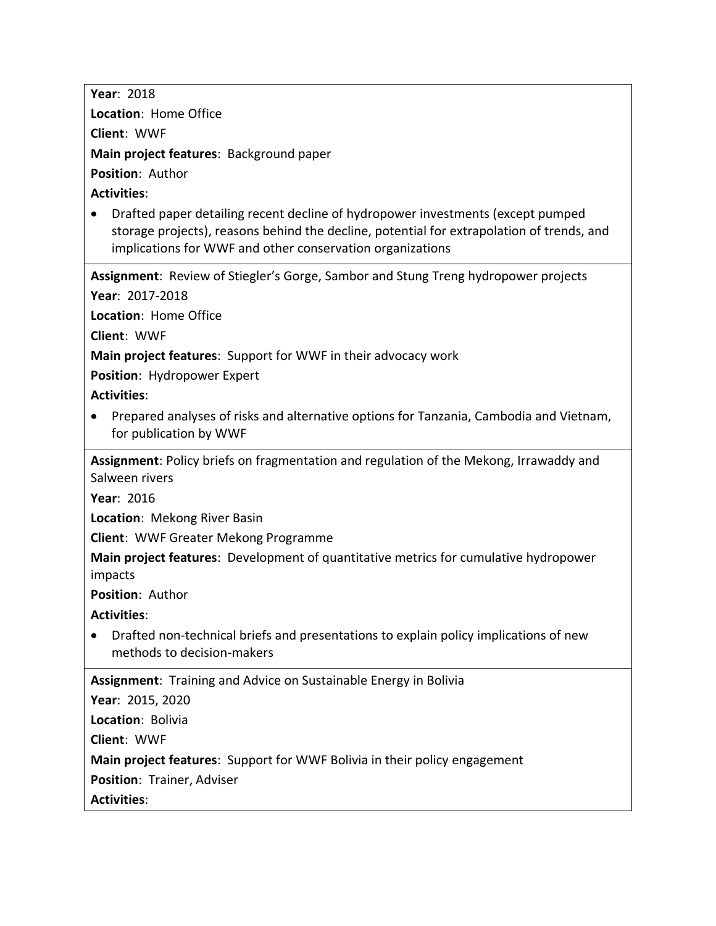**Year**: 2018 **Location**: Home Office **Client**: WWF **Main project features**: Background paper **Position**: Author **Activities**: • Drafted paper detailing recent decline of hydropower investments (except pumped storage projects), reasons behind the decline, potential for extrapolation of trends, and implications for WWF and other conservation organizations **Assignment**: Review of Stiegler's Gorge, Sambor and Stung Treng hydropower projects **Year**: 2017-2018 **Location**: Home Office **Client**: WWF **Main project features**: Support for WWF in their advocacy work **Position**: Hydropower Expert **Activities**: • Prepared analyses of risks and alternative options for Tanzania, Cambodia and Vietnam, for publication by WWF **Assignment**: Policy briefs on fragmentation and regulation of the Mekong, Irrawaddy and Salween rivers **Year**: 2016 **Location**: Mekong River Basin **Client**: WWF Greater Mekong Programme **Main project features**: Development of quantitative metrics for cumulative hydropower impacts **Position**: Author **Activities**: • Drafted non-technical briefs and presentations to explain policy implications of new methods to decision-makers **Assignment**: Training and Advice on Sustainable Energy in Bolivia **Year**: 2015, 2020 **Location**: Bolivia **Client**: WWF **Main project features**: Support for WWF Bolivia in their policy engagement **Position**: Trainer, Adviser **Activities**: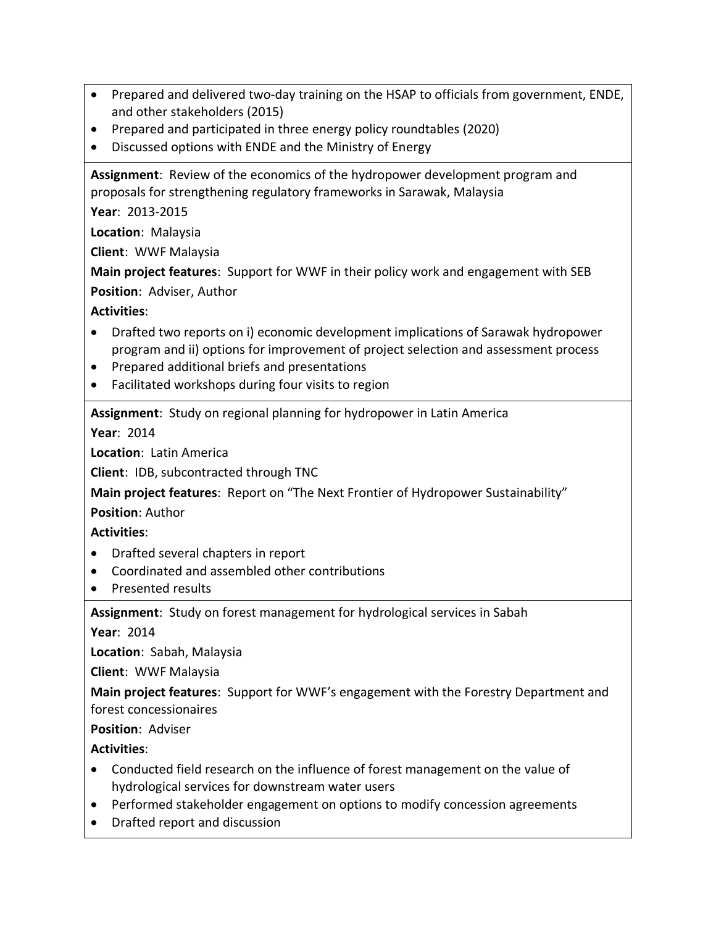- Prepared and delivered two-day training on the HSAP to officials from government, ENDE, and other stakeholders (2015)
- Prepared and participated in three energy policy roundtables (2020)
- Discussed options with ENDE and the Ministry of Energy

**Assignment**: Review of the economics of the hydropower development program and proposals for strengthening regulatory frameworks in Sarawak, Malaysia

**Year**: 2013-2015

**Location**: Malaysia

**Client**: WWF Malaysia

**Main project features**: Support for WWF in their policy work and engagement with SEB

**Position**: Adviser, Author

# **Activities**:

- Drafted two reports on i) economic development implications of Sarawak hydropower program and ii) options for improvement of project selection and assessment process
- Prepared additional briefs and presentations
- Facilitated workshops during four visits to region

**Assignment**: Study on regional planning for hydropower in Latin America

**Year**: 2014

**Location**: Latin America

**Client**: IDB, subcontracted through TNC

**Main project features**: Report on "The Next Frontier of Hydropower Sustainability"

**Position**: Author

#### **Activities**:

- Drafted several chapters in report
- Coordinated and assembled other contributions
- Presented results

**Assignment**: Study on forest management for hydrological services in Sabah

**Year**: 2014

**Location**: Sabah, Malaysia

**Client**: WWF Malaysia

**Main project features**: Support for WWF's engagement with the Forestry Department and forest concessionaires

**Position**: Adviser

- Conducted field research on the influence of forest management on the value of hydrological services for downstream water users
- Performed stakeholder engagement on options to modify concession agreements
- Drafted report and discussion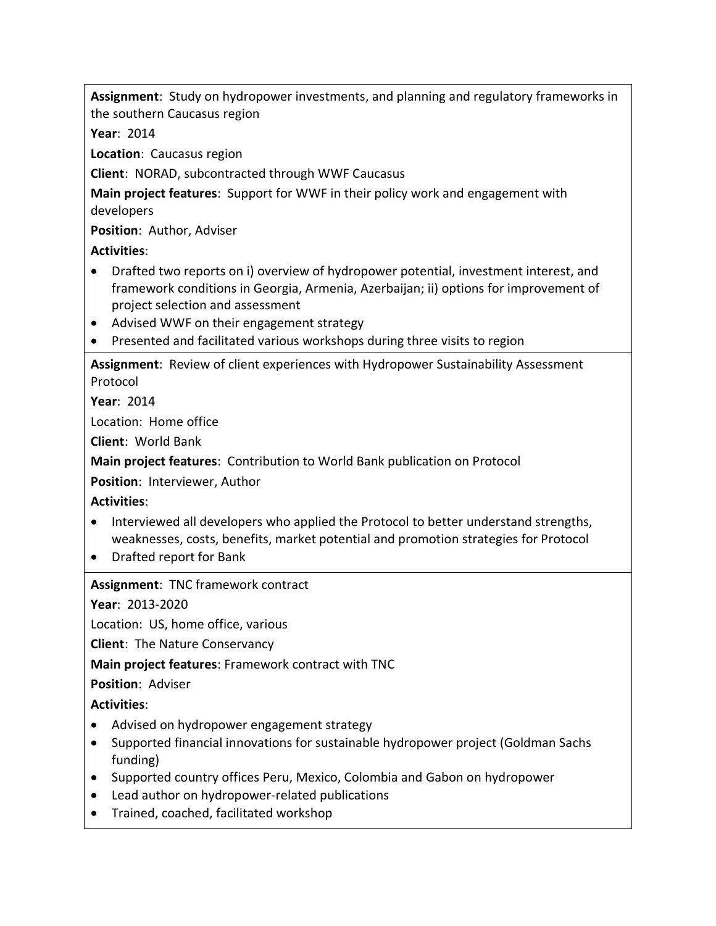**Assignment**: Study on hydropower investments, and planning and regulatory frameworks in the southern Caucasus region

**Year**: 2014

**Location**: Caucasus region

**Client**: NORAD, subcontracted through WWF Caucasus

**Main project features**: Support for WWF in their policy work and engagement with developers

**Position**: Author, Adviser

**Activities**:

- Drafted two reports on i) overview of hydropower potential, investment interest, and framework conditions in Georgia, Armenia, Azerbaijan; ii) options for improvement of project selection and assessment
- Advised WWF on their engagement strategy
- Presented and facilitated various workshops during three visits to region

**Assignment**: Review of client experiences with Hydropower Sustainability Assessment Protocol

**Year**: 2014

Location: Home office

**Client**: World Bank

**Main project features**: Contribution to World Bank publication on Protocol

**Position**: Interviewer, Author

**Activities**:

- Interviewed all developers who applied the Protocol to better understand strengths, weaknesses, costs, benefits, market potential and promotion strategies for Protocol
- Drafted report for Bank

**Assignment**: TNC framework contract

**Year**: 2013-2020

Location: US, home office, various

**Client**: The Nature Conservancy

**Main project features**: Framework contract with TNC

**Position**: Adviser

- Advised on hydropower engagement strategy
- Supported financial innovations for sustainable hydropower project (Goldman Sachs funding)
- Supported country offices Peru, Mexico, Colombia and Gabon on hydropower
- Lead author on hydropower-related publications
- Trained, coached, facilitated workshop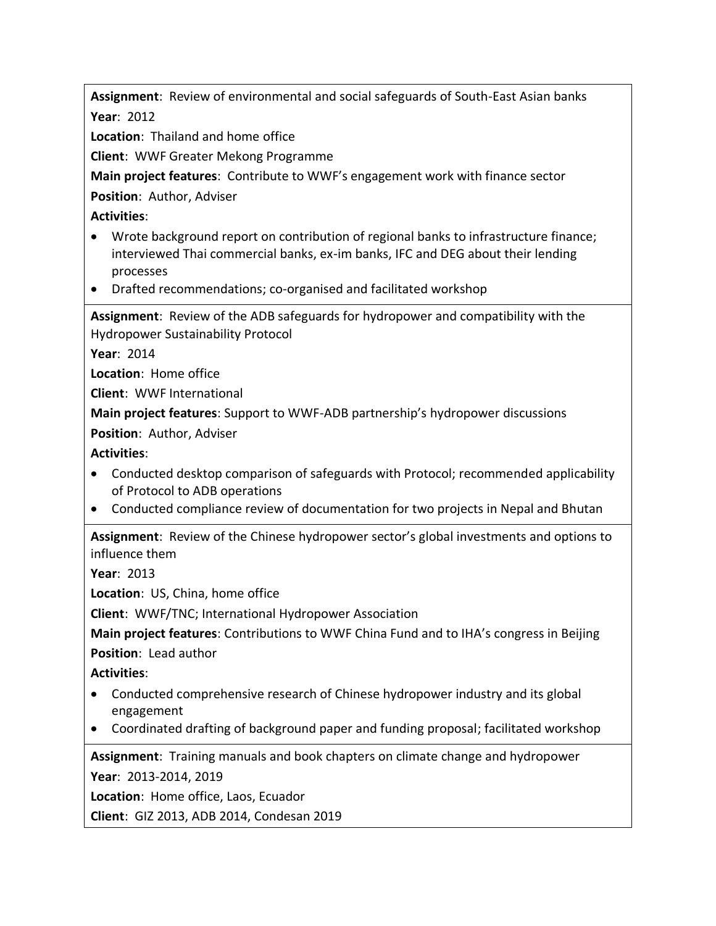**Assignment**: Review of environmental and social safeguards of South-East Asian banks **Year**: 2012

**Location**: Thailand and home office

**Client**: WWF Greater Mekong Programme

**Main project features**: Contribute to WWF's engagement work with finance sector

**Position**: Author, Adviser

**Activities**:

- Wrote background report on contribution of regional banks to infrastructure finance; interviewed Thai commercial banks, ex-im banks, IFC and DEG about their lending processes
- Drafted recommendations; co-organised and facilitated workshop

**Assignment**: Review of the ADB safeguards for hydropower and compatibility with the Hydropower Sustainability Protocol

**Year**: 2014

**Location**: Home office

**Client**: WWF International

**Main project features**: Support to WWF-ADB partnership's hydropower discussions

**Position**: Author, Adviser

**Activities**:

- Conducted desktop comparison of safeguards with Protocol; recommended applicability of Protocol to ADB operations
- Conducted compliance review of documentation for two projects in Nepal and Bhutan

**Assignment**: Review of the Chinese hydropower sector's global investments and options to influence them

**Year**: 2013

**Location**: US, China, home office

**Client**: WWF/TNC; International Hydropower Association

**Main project features**: Contributions to WWF China Fund and to IHA's congress in Beijing **Position**: Lead author

**Activities**:

- Conducted comprehensive research of Chinese hydropower industry and its global engagement
- Coordinated drafting of background paper and funding proposal; facilitated workshop

**Assignment**: Training manuals and book chapters on climate change and hydropower **Year**: 2013-2014, 2019

**Location**: Home office, Laos, Ecuador

**Client**: GIZ 2013, ADB 2014, Condesan 2019